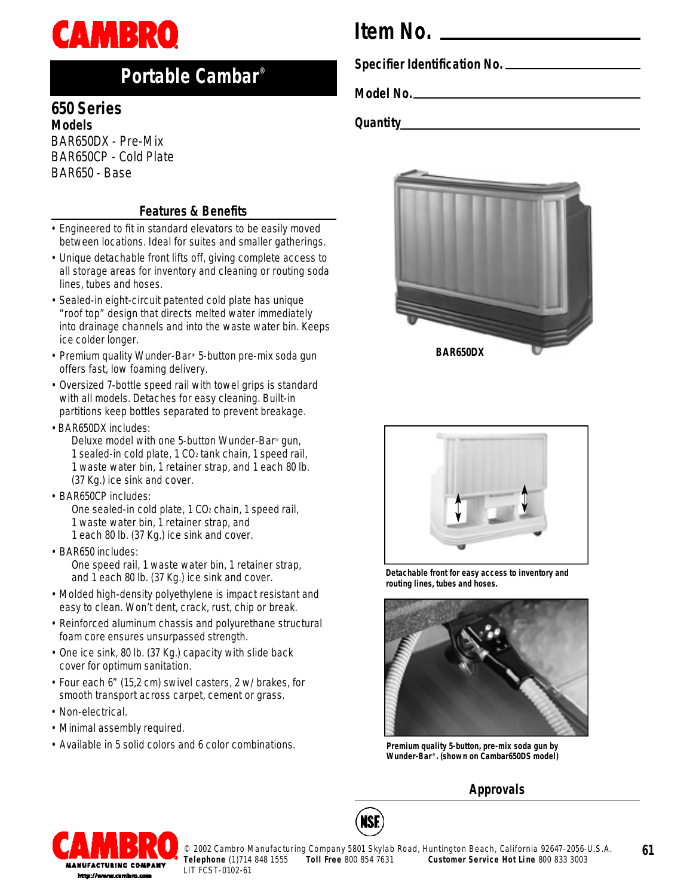

## **Portable Cambar®**

## **650 Series**

**Models** BAR650DX - Pre-Mix BAR650CP - Cold Plate BAR650 - Base

## **Features & Benefits**

- Engineered to fit in standard elevators to be easily moved between locations. Ideal for suites and smaller gatherings.
- Unique detachable front lifts off, giving complete access to all storage areas for inventory and cleaning or routing soda lines, tubes and hoses.
- Sealed-in eight-circuit patented cold plate has unique "roof top" design that directs melted water immediately into drainage channels and into the waste water bin. Keeps ice colder longer.
- Premium quality Wunder-Bar**®** 5-button pre-mix soda gun offers fast, low foaming delivery.
- Oversized 7-bottle speed rail with towel grips is standard with all models. Detaches for easy cleaning. Built-in partitions keep bottles separated to prevent breakage.
- BAR650DX includes:

Deluxe model with one 5-button Wunder-Bar® gun, 1 sealed-in cold plate, 1 CO<sup>2</sup> tank chain, 1 speed rail, 1 waste water bin, 1 retainer strap, and 1 each 80 lb. (37 Kg.) ice sink and cover.

• BAR650CP includes:

One sealed-in cold plate, 1 CO<sub>2</sub> chain, 1 speed rail, 1 waste water bin, 1 retainer strap, and 1 each 80 lb. (37 Kg.) ice sink and cover.

• BAR650 includes:

One speed rail, 1 waste water bin, 1 retainer strap, and 1 each 80 lb. (37 Kg.) ice sink and cover.

- Molded high-density polyethylene is impact resistant and easy to clean. Won't dent, crack, rust, chip or break.
- Reinforced aluminum chassis and polyurethane structural foam core ensures unsurpassed strength.
- One ice sink, 80 lb. (37 Kg.) capacity with slide back cover for optimum sanitation.
- Four each 6" (15,2 cm) swivel casters, 2 w/ brakes, for smooth transport across carpet, cement or grass.
- Non-electrical.
- Minimal assembly required.
- Available in 5 solid colors and 6 color combinations.

# **Item No.**

**Specifier Identification No.**

**Model No.**

**Quantity**





**Detachable front for easy access to inventory and routing lines, tubes and hoses.**



**Premium quality 5-button, pre-mix soda gun by Wunder-Bar ® . (shown on Cambar650DS model)**

## **Approvals**